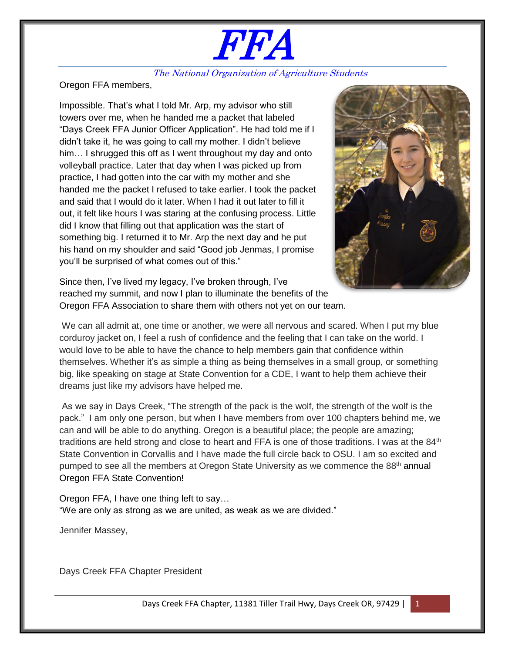# FFA

### The National Organization of Agriculture Students

Oregon FFA members,

Impossible. That's what I told Mr. Arp, my advisor who still towers over me, when he handed me a packet that labeled "Days Creek FFA Junior Officer Application". He had told me if I didn't take it, he was going to call my mother. I didn't believe him... I shrugged this off as I went throughout my day and onto volleyball practice. Later that day when I was picked up from practice, I had gotten into the car with my mother and she handed me the packet I refused to take earlier. I took the packet and said that I would do it later. When I had it out later to fill it out, it felt like hours I was staring at the confusing process. Little did I know that filling out that application was the start of something big. I returned it to Mr. Arp the next day and he put his hand on my shoulder and said "Good job Jenmas, I promise you'll be surprised of what comes out of this."



Since then, I've lived my legacy, I've broken through, I've reached my summit, and now I plan to illuminate the benefits of the Oregon FFA Association to share them with others not yet on our team.

We can all admit at, one time or another, we were all nervous and scared. When I put my blue corduroy jacket on, I feel a rush of confidence and the feeling that I can take on the world. I would love to be able to have the chance to help members gain that confidence within themselves. Whether it's as simple a thing as being themselves in a small group, or something big, like speaking on stage at State Convention for a CDE, I want to help them achieve their dreams just like my advisors have helped me.

As we say in Days Creek, "The strength of the pack is the wolf, the strength of the wolf is the pack." I am only one person, but when I have members from over 100 chapters behind me, we can and will be able to do anything. Oregon is a beautiful place; the people are amazing; traditions are held strong and close to heart and FFA is one of those traditions. I was at the  $84<sup>th</sup>$ State Convention in Corvallis and I have made the full circle back to OSU. I am so excited and pumped to see all the members at Oregon State University as we commence the  $88<sup>th</sup>$  annual Oregon FFA State Convention!

Oregon FFA, I have one thing left to say… "We are only as strong as we are united, as weak as we are divided."

Jennifer Massey,

Days Creek FFA Chapter President

Days Creek FFA Chapter, 11381 Tiller Trail Hwy, Days Creek OR, 97429 |